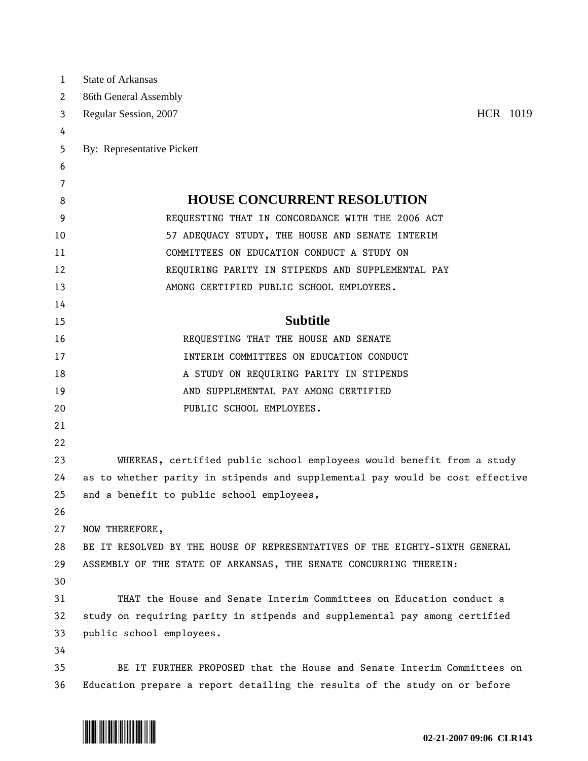| 1  | <b>State of Arkansas</b>                                                      |  |  |  |  |  |  |  |
|----|-------------------------------------------------------------------------------|--|--|--|--|--|--|--|
| 2  | 86th General Assembly                                                         |  |  |  |  |  |  |  |
| 3  | HCR 1019<br>Regular Session, 2007                                             |  |  |  |  |  |  |  |
| 4  |                                                                               |  |  |  |  |  |  |  |
| 5  | By: Representative Pickett                                                    |  |  |  |  |  |  |  |
| 6  |                                                                               |  |  |  |  |  |  |  |
| 7  |                                                                               |  |  |  |  |  |  |  |
| 8  | <b>HOUSE CONCURRENT RESOLUTION</b>                                            |  |  |  |  |  |  |  |
| 9  | REQUESTING THAT IN CONCORDANCE WITH THE 2006 ACT                              |  |  |  |  |  |  |  |
| 10 | 57 ADEQUACY STUDY, THE HOUSE AND SENATE INTERIM                               |  |  |  |  |  |  |  |
| 11 | COMMITTEES ON EDUCATION CONDUCT A STUDY ON                                    |  |  |  |  |  |  |  |
| 12 | REQUIRING PARITY IN STIPENDS AND SUPPLEMENTAL PAY                             |  |  |  |  |  |  |  |
| 13 | AMONG CERTIFIED PUBLIC SCHOOL EMPLOYEES.                                      |  |  |  |  |  |  |  |
| 14 |                                                                               |  |  |  |  |  |  |  |
| 15 | <b>Subtitle</b>                                                               |  |  |  |  |  |  |  |
| 16 | REQUESTING THAT THE HOUSE AND SENATE                                          |  |  |  |  |  |  |  |
| 17 | INTERIM COMMITTEES ON EDUCATION CONDUCT                                       |  |  |  |  |  |  |  |
| 18 | A STUDY ON REQUIRING PARITY IN STIPENDS                                       |  |  |  |  |  |  |  |
| 19 | AND SUPPLEMENTAL PAY AMONG CERTIFIED                                          |  |  |  |  |  |  |  |
| 20 | PUBLIC SCHOOL EMPLOYEES.                                                      |  |  |  |  |  |  |  |
| 21 |                                                                               |  |  |  |  |  |  |  |
| 22 |                                                                               |  |  |  |  |  |  |  |
| 23 | WHEREAS, certified public school employees would benefit from a study         |  |  |  |  |  |  |  |
| 24 | as to whether parity in stipends and supplemental pay would be cost effective |  |  |  |  |  |  |  |
| 25 | and a benefit to public school employees,                                     |  |  |  |  |  |  |  |
| 26 |                                                                               |  |  |  |  |  |  |  |
| 27 | NOW THEREFORE,                                                                |  |  |  |  |  |  |  |
| 28 | BE IT RESOLVED BY THE HOUSE OF REPRESENTATIVES OF THE EIGHTY-SIXTH GENERAL    |  |  |  |  |  |  |  |
| 29 | ASSEMBLY OF THE STATE OF ARKANSAS, THE SENATE CONCURRING THEREIN:             |  |  |  |  |  |  |  |
| 30 |                                                                               |  |  |  |  |  |  |  |
| 31 | THAT the House and Senate Interim Committees on Education conduct a           |  |  |  |  |  |  |  |
| 32 | study on requiring parity in stipends and supplemental pay among certified    |  |  |  |  |  |  |  |
| 33 | public school employees.                                                      |  |  |  |  |  |  |  |
| 34 |                                                                               |  |  |  |  |  |  |  |
| 35 | BE IT FURTHER PROPOSED that the House and Senate Interim Committees on        |  |  |  |  |  |  |  |
| 36 | Education prepare a report detailing the results of the study on or before    |  |  |  |  |  |  |  |